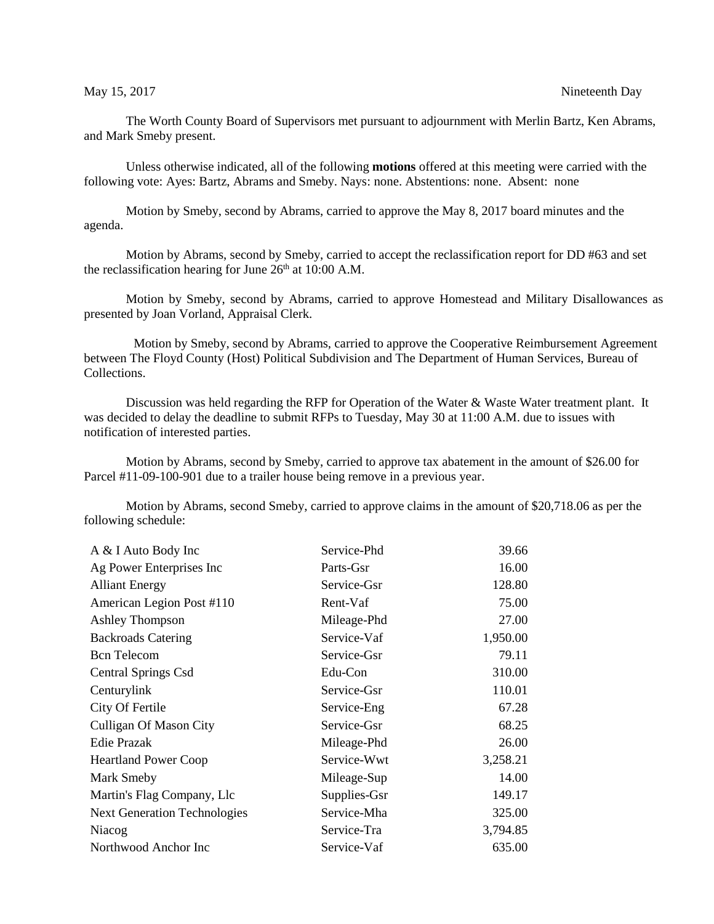The Worth County Board of Supervisors met pursuant to adjournment with Merlin Bartz, Ken Abrams, and Mark Smeby present.

Unless otherwise indicated, all of the following **motions** offered at this meeting were carried with the following vote: Ayes: Bartz, Abrams and Smeby. Nays: none. Abstentions: none. Absent: none

Motion by Smeby, second by Abrams, carried to approve the May 8, 2017 board minutes and the agenda.

Motion by Abrams, second by Smeby, carried to accept the reclassification report for DD #63 and set the reclassification hearing for June  $26<sup>th</sup>$  at 10:00 A.M.

Motion by Smeby, second by Abrams, carried to approve Homestead and Military Disallowances as presented by Joan Vorland, Appraisal Clerk.

 Motion by Smeby, second by Abrams, carried to approve the Cooperative Reimbursement Agreement between The Floyd County (Host) Political Subdivision and The Department of Human Services, Bureau of Collections.

Discussion was held regarding the RFP for Operation of the Water & Waste Water treatment plant. It was decided to delay the deadline to submit RFPs to Tuesday, May 30 at 11:00 A.M. due to issues with notification of interested parties.

Motion by Abrams, second by Smeby, carried to approve tax abatement in the amount of \$26.00 for Parcel #11-09-100-901 due to a trailer house being remove in a previous year.

Motion by Abrams, second Smeby, carried to approve claims in the amount of \$20,718.06 as per the following schedule:

| A & I Auto Body Inc                 | Service-Phd  | 39.66    |
|-------------------------------------|--------------|----------|
| Ag Power Enterprises Inc            | Parts-Gsr    | 16.00    |
| <b>Alliant Energy</b>               | Service-Gsr  | 128.80   |
| American Legion Post #110           | Rent-Vaf     | 75.00    |
| <b>Ashley Thompson</b>              | Mileage-Phd  | 27.00    |
| <b>Backroads Catering</b>           | Service-Vaf  | 1,950.00 |
| <b>Bcn</b> Telecom                  | Service-Gsr  | 79.11    |
| Central Springs Csd                 | Edu-Con      | 310.00   |
| Centurylink                         | Service-Gsr  | 110.01   |
| City Of Fertile                     | Service-Eng  | 67.28    |
| Culligan Of Mason City              | Service-Gsr  | 68.25    |
| <b>Edie Prazak</b>                  | Mileage-Phd  | 26.00    |
| <b>Heartland Power Coop</b>         | Service-Wwt  | 3,258.21 |
| Mark Smeby                          | Mileage-Sup  | 14.00    |
| Martin's Flag Company, Llc          | Supplies-Gsr | 149.17   |
| <b>Next Generation Technologies</b> | Service-Mha  | 325.00   |
| Niacog                              | Service-Tra  | 3,794.85 |
| Northwood Anchor Inc                | Service-Vaf  | 635.00   |